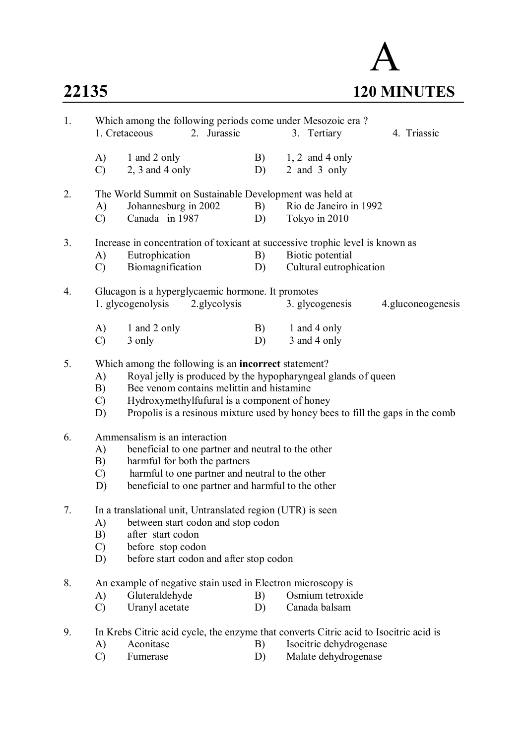## A **22135 120 MINUTES**

| 1. |                                                                                                                                                                                                      | Which among the following periods come under Mesozoic era?<br>2. Jurassic<br>1. Cretaceous                                                                                                                                                                                                           |          | 3. Tertiary<br>4. Triassic                  |  |  |  |  |
|----|------------------------------------------------------------------------------------------------------------------------------------------------------------------------------------------------------|------------------------------------------------------------------------------------------------------------------------------------------------------------------------------------------------------------------------------------------------------------------------------------------------------|----------|---------------------------------------------|--|--|--|--|
|    | A)<br>$\mathcal{C}$                                                                                                                                                                                  | 1 and 2 only<br>$2, 3$ and 4 only                                                                                                                                                                                                                                                                    | B)<br>D) | $1, 2$ and 4 only<br>2 and 3 only           |  |  |  |  |
| 2. | A)<br>$\mathcal{C}$                                                                                                                                                                                  | The World Summit on Sustainable Development was held at<br>Johannesburg in 2002<br>Canada in 1987                                                                                                                                                                                                    | B)<br>D) | Rio de Janeiro in 1992<br>Tokyo in 2010     |  |  |  |  |
| 3. | A)<br>C)                                                                                                                                                                                             | Increase in concentration of toxicant at successive trophic level is known as<br>Eutrophication<br>Biomagnification                                                                                                                                                                                  | B)<br>D) | Biotic potential<br>Cultural eutrophication |  |  |  |  |
| 4. | Glucagon is a hyperglycaemic hormone. It promotes<br>2. glycolysis<br>1. glycogenolysis<br>3. glycogenesis<br>4.gluconeogenesis                                                                      |                                                                                                                                                                                                                                                                                                      |          |                                             |  |  |  |  |
|    | A)<br>$\mathcal{C}$                                                                                                                                                                                  | 1 and 2 only<br>3 only                                                                                                                                                                                                                                                                               | B)<br>D) | 1 and 4 only<br>3 and 4 only                |  |  |  |  |
| 5. | A)<br>B)<br>$\mathcal{C}$<br>D)                                                                                                                                                                      | Which among the following is an incorrect statement?<br>Royal jelly is produced by the hypopharyngeal glands of queen<br>Bee venom contains melittin and histamine<br>Hydroxymethylfufural is a component of honey<br>Propolis is a resinous mixture used by honey bees to fill the gaps in the comb |          |                                             |  |  |  |  |
| 6. | A)<br>B)<br>$\mathcal{C}$<br>D)                                                                                                                                                                      | Ammensalism is an interaction<br>beneficial to one partner and neutral to the other<br>harmful for both the partners<br>harmful to one partner and neutral to the other<br>beneficial to one partner and harmful to the other                                                                        |          |                                             |  |  |  |  |
| 7. | A)<br>B)<br>$\mathcal{C}$<br>D)                                                                                                                                                                      | In a translational unit, Untranslated region (UTR) is seen<br>between start codon and stop codon<br>after start codon<br>before stop codon<br>before start codon and after stop codon                                                                                                                |          |                                             |  |  |  |  |
| 8. | A)<br>$\mathcal{C}$                                                                                                                                                                                  | An example of negative stain used in Electron microscopy is<br>Gluteraldehyde<br>Uranyl acetate                                                                                                                                                                                                      | B)<br>D) | Osmium tetroxide<br>Canada balsam           |  |  |  |  |
| 9. | In Krebs Citric acid cycle, the enzyme that converts Citric acid to Isocitric acid is<br>Aconitase<br>Isocitric dehydrogenase<br>B)<br>A)<br>Malate dehydrogenase<br>Fumerase<br>$\mathcal{C}$<br>D) |                                                                                                                                                                                                                                                                                                      |          |                                             |  |  |  |  |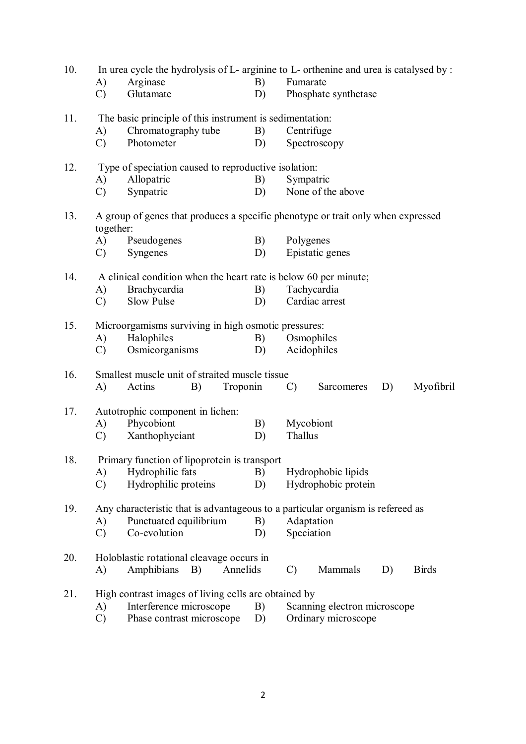| 10. |                                                  | In urea cycle the hydrolysis of L- arginine to L- orthenine and urea is catalysed by: |                                                     |                 |                              |    |              |  |  |  |  |  |
|-----|--------------------------------------------------|---------------------------------------------------------------------------------------|-----------------------------------------------------|-----------------|------------------------------|----|--------------|--|--|--|--|--|
|     | A)                                               | Arginase                                                                              | B)                                                  | Fumarate        |                              |    |              |  |  |  |  |  |
|     | $\mathcal{C}$                                    | Glutamate                                                                             | D)                                                  |                 | Phosphate synthetase         |    |              |  |  |  |  |  |
| 11. |                                                  | The basic principle of this instrument is sedimentation:                              |                                                     |                 |                              |    |              |  |  |  |  |  |
|     | A)                                               | Chromatography tube                                                                   | B)                                                  | Centrifuge      |                              |    |              |  |  |  |  |  |
|     | $\mathcal{C}$                                    | Photometer                                                                            | D)                                                  |                 | Spectroscopy                 |    |              |  |  |  |  |  |
| 12. |                                                  | Type of speciation caused to reproductive isolation:                                  |                                                     |                 |                              |    |              |  |  |  |  |  |
|     | A)                                               | Allopatric                                                                            | B)                                                  | Sympatric       |                              |    |              |  |  |  |  |  |
|     | $\mathcal{C}$                                    | Synpatric                                                                             | D)                                                  |                 | None of the above            |    |              |  |  |  |  |  |
| 13. | together:                                        | A group of genes that produces a specific phenotype or trait only when expressed      |                                                     |                 |                              |    |              |  |  |  |  |  |
|     |                                                  | A) Pseudogenes                                                                        | B)                                                  | Polygenes       |                              |    |              |  |  |  |  |  |
|     | $\mathcal{C}$                                    | Syngenes                                                                              | D)                                                  |                 | Epistatic genes              |    |              |  |  |  |  |  |
| 14. |                                                  | A clinical condition when the heart rate is below 60 per minute;                      |                                                     |                 |                              |    |              |  |  |  |  |  |
|     | A)                                               | Brachycardia                                                                          | B)                                                  |                 | Tachycardia                  |    |              |  |  |  |  |  |
|     | $\mathcal{C}$                                    | Slow Pulse                                                                            | D)                                                  |                 | Cardiac arrest               |    |              |  |  |  |  |  |
| 15. |                                                  |                                                                                       | Microorgamisms surviving in high osmotic pressures: |                 |                              |    |              |  |  |  |  |  |
|     | A)                                               | Halophiles                                                                            | B)                                                  |                 | Osmophiles                   |    |              |  |  |  |  |  |
|     |                                                  |                                                                                       |                                                     |                 | Acidophiles                  |    |              |  |  |  |  |  |
|     | $\mathcal{C}$                                    | Osmicorganisms                                                                        | D)                                                  |                 |                              |    |              |  |  |  |  |  |
| 16. |                                                  | Smallest muscle unit of straited muscle tissue                                        |                                                     |                 |                              |    |              |  |  |  |  |  |
|     | A)                                               | Actins<br>B)                                                                          | Troponin                                            | $\mathcal{C}$ ) | Sarcomeres                   | D) | Myofibril    |  |  |  |  |  |
| 17. |                                                  | Autotrophic component in lichen:                                                      |                                                     |                 |                              |    |              |  |  |  |  |  |
|     | A)                                               | Phycobiont                                                                            | B)                                                  |                 | Mycobiont                    |    |              |  |  |  |  |  |
|     | $\mathcal{C}$                                    | Xanthophyciant                                                                        | D)                                                  | Thallus         |                              |    |              |  |  |  |  |  |
| 18. |                                                  | Primary function of lipoprotein is transport                                          |                                                     |                 |                              |    |              |  |  |  |  |  |
|     | A)                                               | Hydrophilic fats                                                                      | B)                                                  |                 | Hydrophobic lipids           |    |              |  |  |  |  |  |
|     | $\mathcal{C}$                                    | Hydrophilic proteins                                                                  | D)                                                  |                 | Hydrophobic protein          |    |              |  |  |  |  |  |
| 19. |                                                  | Any characteristic that is advantageous to a particular organism is refereed as       |                                                     |                 |                              |    |              |  |  |  |  |  |
|     | Punctuated equilibrium<br>B)<br>Adaptation<br>A) |                                                                                       |                                                     |                 |                              |    |              |  |  |  |  |  |
|     | $\mathcal{C}$                                    | Co-evolution                                                                          | D)                                                  | Speciation      |                              |    |              |  |  |  |  |  |
| 20. |                                                  | Holoblastic rotational cleavage occurs in                                             |                                                     |                 |                              |    |              |  |  |  |  |  |
|     | A)                                               | Annelids<br>Amphibians<br>B)                                                          |                                                     | $\mathcal{C}$   | Mammals                      | D) | <b>Birds</b> |  |  |  |  |  |
| 21. |                                                  | High contrast images of living cells are obtained by                                  |                                                     |                 |                              |    |              |  |  |  |  |  |
|     | A)                                               | Interference microscope                                                               | B)                                                  |                 | Scanning electron microscope |    |              |  |  |  |  |  |
|     | $\mathcal{C}$                                    | Phase contrast microscope                                                             | D)                                                  |                 | Ordinary microscope          |    |              |  |  |  |  |  |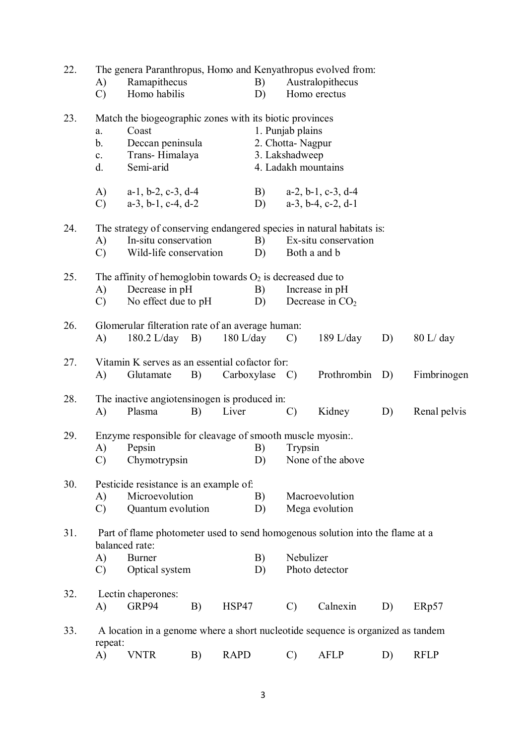| 22. | The genera Paranthropus, Homo and Kenyathropus evolved from: |                                                                  |    |             |                                                                                 |                |                                                                               |    |              |  |  |  |
|-----|--------------------------------------------------------------|------------------------------------------------------------------|----|-------------|---------------------------------------------------------------------------------|----------------|-------------------------------------------------------------------------------|----|--------------|--|--|--|
|     | A)                                                           | Ramapithecus                                                     |    |             | B)                                                                              |                | Australopithecus                                                              |    |              |  |  |  |
|     | $\mathcal{C}$                                                | Homo habilis                                                     |    |             | D)                                                                              |                | Homo erectus                                                                  |    |              |  |  |  |
| 23. | a.                                                           | Match the biogeographic zones with its biotic provinces<br>Coast |    |             |                                                                                 |                |                                                                               |    |              |  |  |  |
|     | $b_{\cdot}$                                                  | Deccan peninsula                                                 |    |             | 1. Punjab plains<br>2. Chotta-Nagpur                                            |                |                                                                               |    |              |  |  |  |
|     | c.                                                           | Trans-Himalaya                                                   |    |             |                                                                                 | 3. Lakshadweep |                                                                               |    |              |  |  |  |
|     | d.                                                           | Semi-arid                                                        |    |             |                                                                                 |                | 4. Ladakh mountains                                                           |    |              |  |  |  |
|     |                                                              |                                                                  |    |             |                                                                                 |                |                                                                               |    |              |  |  |  |
|     | (A)                                                          | $a-1$ , $b-2$ , $c-3$ , $d-4$                                    |    |             |                                                                                 |                | B) $a-2, b-1, c-3, d-4$                                                       |    |              |  |  |  |
|     | $\mathcal{C}$                                                | $a-3$ , $b-1$ , $c-4$ , $d-2$                                    |    |             | D)                                                                              |                | $a-3$ , $b-4$ , $c-2$ , $d-1$                                                 |    |              |  |  |  |
| 24. |                                                              |                                                                  |    |             |                                                                                 |                | The strategy of conserving endangered species in natural habitats is:         |    |              |  |  |  |
|     | A)                                                           | In-situ conservation                                             |    |             | B)                                                                              |                | Ex-situ conservation                                                          |    |              |  |  |  |
|     | $\mathcal{C}$                                                | Wild-life conservation                                           |    |             | D)                                                                              |                | Both a and b                                                                  |    |              |  |  |  |
| 25. |                                                              | The affinity of hemoglobin towards $O_2$ is decreased due to     |    |             |                                                                                 |                |                                                                               |    |              |  |  |  |
|     | A)                                                           | Decrease in pH                                                   |    |             | B)                                                                              |                | Increase in pH                                                                |    |              |  |  |  |
|     | $\mathcal{C}$                                                | No effect due to pH                                              |    |             | D)                                                                              |                | Decrease in $CO2$                                                             |    |              |  |  |  |
| 26. |                                                              | Glomerular filteration rate of an average human:                 |    |             |                                                                                 |                |                                                                               |    |              |  |  |  |
|     | A)                                                           | $180.2$ L/day B)                                                 |    |             | $180$ L/day                                                                     | $\mathcal{C}$  | 189 L/day                                                                     | D) | 80 L/day     |  |  |  |
|     |                                                              |                                                                  |    |             |                                                                                 |                |                                                                               |    |              |  |  |  |
| 27. | A)                                                           | Vitamin K serves as an essential cofactor for:<br>Glutamate      | B) |             | $Carboxylase$ C)                                                                |                | Prothrombin                                                                   | D) | Fimbrinogen  |  |  |  |
|     |                                                              |                                                                  |    |             |                                                                                 |                |                                                                               |    |              |  |  |  |
| 28. |                                                              | The inactive angiotensinogen is produced in:                     |    |             |                                                                                 |                |                                                                               |    |              |  |  |  |
|     | A)                                                           | Plasma                                                           | B) | Liver       |                                                                                 | $\mathcal{C}$  | Kidney                                                                        | D) | Renal pelvis |  |  |  |
| 29. |                                                              | Enzyme responsible for cleavage of smooth muscle myosin          |    |             |                                                                                 |                |                                                                               |    |              |  |  |  |
|     | A)                                                           | Pepsin                                                           |    |             | B)                                                                              | Trypsin        |                                                                               |    |              |  |  |  |
|     | C)                                                           | Chymotrypsin                                                     |    |             | D)                                                                              |                | None of the above                                                             |    |              |  |  |  |
| 30. |                                                              | Pesticide resistance is an example of:                           |    |             |                                                                                 |                |                                                                               |    |              |  |  |  |
|     | A)                                                           | Microevolution                                                   |    |             | B)                                                                              |                | Macroevolution                                                                |    |              |  |  |  |
|     | $\mathcal{C}$                                                | Quantum evolution                                                |    |             | D)                                                                              |                | Mega evolution                                                                |    |              |  |  |  |
| 31. |                                                              |                                                                  |    |             |                                                                                 |                | Part of flame photometer used to send homogenous solution into the flame at a |    |              |  |  |  |
|     |                                                              | balanced rate:                                                   |    |             |                                                                                 |                |                                                                               |    |              |  |  |  |
|     | A)                                                           | <b>Burner</b>                                                    |    |             | B)                                                                              | Nebulizer      |                                                                               |    |              |  |  |  |
|     | $\mathcal{C}$                                                | Optical system                                                   |    |             | D)                                                                              |                | Photo detector                                                                |    |              |  |  |  |
| 32. |                                                              | Lectin chaperones:                                               |    |             |                                                                                 |                |                                                                               |    |              |  |  |  |
|     | A)                                                           | GRP94                                                            | B) | HSP47       |                                                                                 | $\mathcal{C}$  | Calnexin                                                                      | D) | ERp57        |  |  |  |
| 33. |                                                              |                                                                  |    |             |                                                                                 |                |                                                                               |    |              |  |  |  |
|     | repeat:                                                      |                                                                  |    |             | A location in a genome where a short nucleotide sequence is organized as tandem |                |                                                                               |    |              |  |  |  |
|     | A)                                                           | <b>VNTR</b>                                                      | B) | <b>RAPD</b> |                                                                                 | $\mathcal{C}$  | <b>AFLP</b>                                                                   | D) | <b>RFLP</b>  |  |  |  |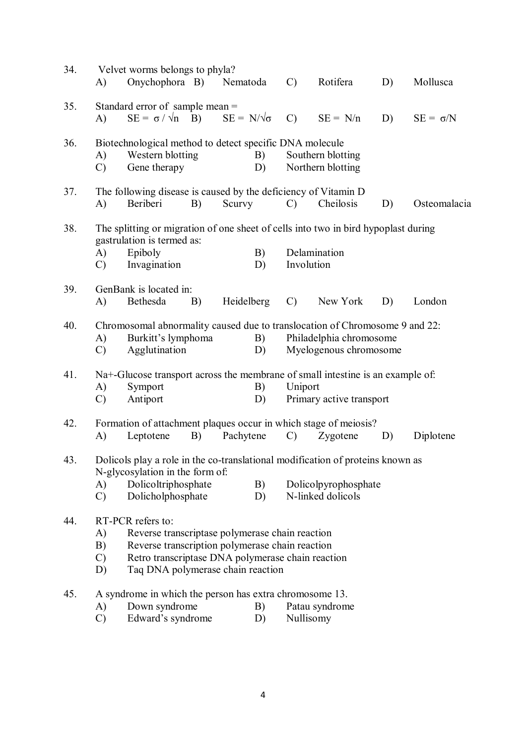| 34. | A)                                                                                                                                                                                                                                                   | Velvet worms belongs to phyla?<br>Onychophora B) Nematoda                                                                                                                           |    |                        |          | $\mathcal{C}$ | Rotifera                                  | D) | Mollusca        |
|-----|------------------------------------------------------------------------------------------------------------------------------------------------------------------------------------------------------------------------------------------------------|-------------------------------------------------------------------------------------------------------------------------------------------------------------------------------------|----|------------------------|----------|---------------|-------------------------------------------|----|-----------------|
| 35. | A)                                                                                                                                                                                                                                                   | Standard error of sample mean $=$<br>$SE = \sigma / \sqrt{n}$ B)                                                                                                                    |    | $SE = N/\sqrt{\sigma}$ |          | $\mathcal{C}$ | $SE = N/n$                                | D) | $SE = \sigma/N$ |
| 36. | A)<br>$\mathcal{C}$                                                                                                                                                                                                                                  | Biotechnological method to detect specific DNA molecule<br>Western blotting<br>Gene therapy                                                                                         |    |                        | B)<br>D) |               | Southern blotting<br>Northern blotting    |    |                 |
| 37. | A)                                                                                                                                                                                                                                                   | The following disease is caused by the deficiency of Vitamin D<br>Beriberi                                                                                                          | B) | Scurvy                 |          | $\mathcal{C}$ | Cheilosis                                 | D) | Osteomalacia    |
| 38. | A)<br>$\mathcal{C}$                                                                                                                                                                                                                                  | The splitting or migration of one sheet of cells into two in bird hypoplast during<br>gastrulation is termed as:<br>Epiboly<br>Invagination                                         |    |                        | B)<br>D) | Involution    | Delamination                              |    |                 |
| 39. | A)                                                                                                                                                                                                                                                   | GenBank is located in:<br>Bethesda                                                                                                                                                  | B) | <b>Heidelberg</b>      |          | $\mathcal{C}$ | New York                                  | D) | London          |
| 40. | A)<br>$\mathcal{C}$                                                                                                                                                                                                                                  | Chromosomal abnormality caused due to translocation of Chromosome 9 and 22:<br>Burkitt's lymphoma<br>Philadelphia chromosome<br>B)<br>Myelogenous chromosome<br>Agglutination<br>D) |    |                        |          |               |                                           |    |                 |
| 41. | A)<br>$\mathcal{C}$                                                                                                                                                                                                                                  | Na+-Glucose transport across the membrane of small intestine is an example of.<br>Symport<br>Antiport                                                                               |    |                        | B)<br>D) | Uniport       | Primary active transport                  |    |                 |
| 42. | A)                                                                                                                                                                                                                                                   | Formation of attachment plaques occur in which stage of meiosis?<br>Leptotene                                                                                                       | B) | Pachytene              |          | $\mathcal{C}$ | Zygotene                                  | D) | Diplotene       |
| 43. | A)<br>$\mathcal{C}$                                                                                                                                                                                                                                  | Dolicols play a role in the co-translational modification of proteins known as<br>N-glycosylation in the form of:<br>Dolicoltriphosphate<br>Dolicholphosphate                       |    |                        | B)<br>D) |               | Dolicolpyrophosphate<br>N-linked dolicols |    |                 |
| 44. | RT-PCR refers to:<br>A)<br>Reverse transcriptase polymerase chain reaction<br>B)<br>Reverse transcription polymerase chain reaction<br>$\mathcal{C}$<br>Retro transcriptase DNA polymerase chain reaction<br>Taq DNA polymerase chain reaction<br>D) |                                                                                                                                                                                     |    |                        |          |               |                                           |    |                 |
| 45. | A)<br>$\mathcal{C}$                                                                                                                                                                                                                                  | A syndrome in which the person has extra chromosome 13.<br>Down syndrome<br>Edward's syndrome                                                                                       |    |                        | B)<br>D) | Nullisomy     | Patau syndrome                            |    |                 |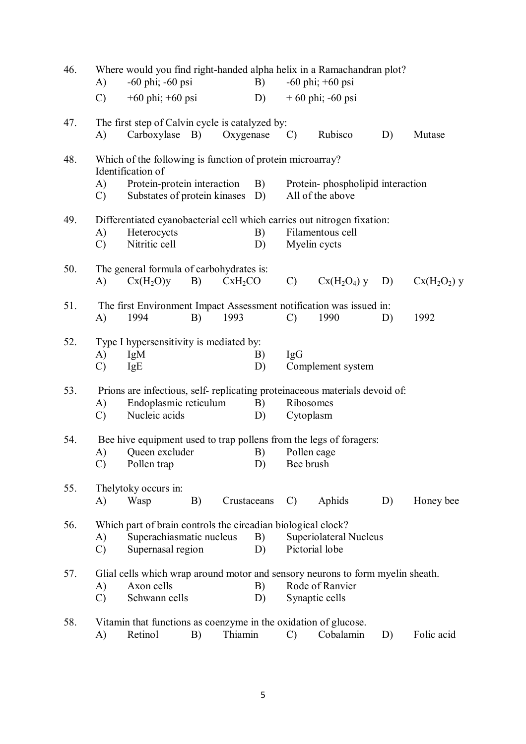| 46. | A)                  | $-60$ phi; $-60$ psi                                                                                                                          |    |                     |          | Where would you find right-handed alpha helix in a Ramachandran plot?<br>$-60 \,\text{phi}; +60 \,\text{psi}$<br>B) |                                                                                                             |    |              |  |  |
|-----|---------------------|-----------------------------------------------------------------------------------------------------------------------------------------------|----|---------------------|----------|---------------------------------------------------------------------------------------------------------------------|-------------------------------------------------------------------------------------------------------------|----|--------------|--|--|
|     | $\mathcal{C}$       | $+60 \text{ phi}$ ; $+60 \text{ psi}$                                                                                                         |    |                     | D)       |                                                                                                                     | $+60$ phi; -60 psi                                                                                          |    |              |  |  |
| 47. | A)                  | The first step of Calvin cycle is catalyzed by:<br>Carboxylase B)                                                                             |    | Oxygenase           |          | $\mathcal{C}$                                                                                                       | Rubisco                                                                                                     | D) | Mutase       |  |  |
| 48. | A)<br>$\mathcal{C}$ | Which of the following is function of protein microarray?<br>Identification of<br>Protein-protein interaction<br>Substates of protein kinases |    |                     | B)<br>D) |                                                                                                                     | Protein-phospholipid interaction<br>All of the above                                                        |    |              |  |  |
| 49. | A)<br>$\mathcal{C}$ | Heterocycts<br>Nitritic cell                                                                                                                  |    |                     | B)<br>D) |                                                                                                                     | Differentiated cyanobacterial cell which carries out nitrogen fixation:<br>Filamentous cell<br>Myelin cycts |    |              |  |  |
| 50. | A)                  | The general formula of carbohydrates is:<br>Cx(H <sub>2</sub> O)y                                                                             | B) | CxH <sub>2</sub> CO |          | $\mathcal{C}$                                                                                                       | $Cx(H2O4)$ y                                                                                                | D) | $Cx(H2O2)$ y |  |  |
| 51. | A)                  | 1994                                                                                                                                          | B) | 1993                |          | $\mathcal{C}$                                                                                                       | The first Environment Impact Assessment notification was issued in:<br>1990                                 | D) | 1992         |  |  |
| 52. | A)<br>$\mathcal{C}$ | Type I hypersensitivity is mediated by:<br>IgM<br><b>IgE</b>                                                                                  |    |                     | B)<br>D) | <b>IgG</b>                                                                                                          | Complement system                                                                                           |    |              |  |  |
| 53. | A)<br>$\mathcal{C}$ | Endoplasmic reticulum<br>Nucleic acids                                                                                                        |    |                     | B)<br>D) |                                                                                                                     | Prions are infectious, self- replicating proteinaceous materials devoid of:<br>Ribosomes<br>Cytoplasm       |    |              |  |  |
| 54. | A)<br>$\mathcal{C}$ | Queen excluder<br>Pollen trap                                                                                                                 |    |                     | B)<br>D) | Bee brush                                                                                                           | Bee hive equipment used to trap pollens from the legs of foragers:<br>Pollen cage                           |    |              |  |  |
| 55. | A)                  | Thelytoky occurs in:<br>Wasp                                                                                                                  | B) | Crustaceans         |          | $\mathcal{C}$                                                                                                       | Aphids                                                                                                      | D) | Honey bee    |  |  |
| 56. | A)<br>$\mathcal{C}$ | Which part of brain controls the circadian biological clock?<br>Superachiasmatic nucleus<br>Supernasal region                                 |    |                     | B)<br>D) |                                                                                                                     | Superiolateral Nucleus<br>Pictorial lobe                                                                    |    |              |  |  |
| 57. | A)<br>$\mathcal{C}$ | Axon cells<br>Schwann cells                                                                                                                   |    |                     | B)<br>D) | Glial cells which wrap around motor and sensory neurons to form myelin sheath.<br>Rode of Ranvier<br>Synaptic cells |                                                                                                             |    |              |  |  |
| 58. | A)                  | Retinol                                                                                                                                       | B) | Thiamin             |          | C)                                                                                                                  | Vitamin that functions as coenzyme in the oxidation of glucose.<br>Cobalamin                                | D) | Folic acid   |  |  |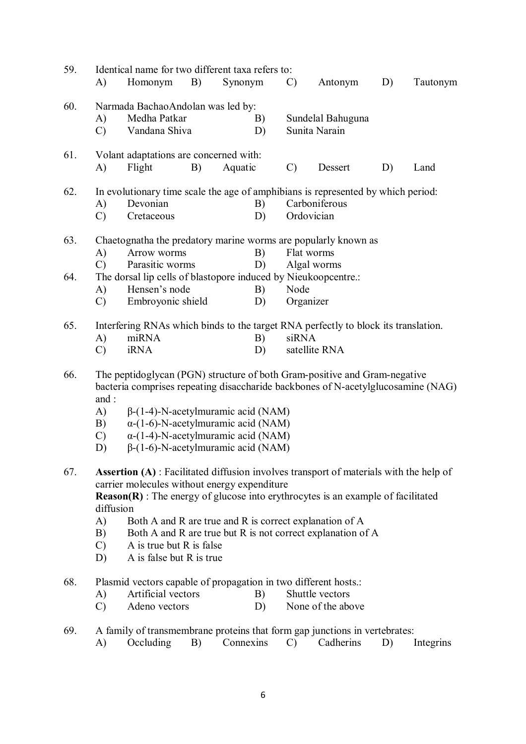| 59. |                                                                | Identical name for two different taxa refers to:                                                                                                              |    |                                                         |                                        |                                                             |    |           |  |  |
|-----|----------------------------------------------------------------|---------------------------------------------------------------------------------------------------------------------------------------------------------------|----|---------------------------------------------------------|----------------------------------------|-------------------------------------------------------------|----|-----------|--|--|
|     | A)                                                             | Homonym                                                                                                                                                       | B) | Synonym                                                 | $\mathcal{C}$                          | Antonym                                                     | D) | Tautonym  |  |  |
| 60. |                                                                | Narmada BachaoAndolan was led by:                                                                                                                             |    |                                                         |                                        |                                                             |    |           |  |  |
|     | A)                                                             | Medha Patkar                                                                                                                                                  |    | B)                                                      |                                        | Sundelal Bahuguna                                           |    |           |  |  |
|     | $\mathcal{C}$                                                  | Vandana Shiva                                                                                                                                                 |    | D)                                                      |                                        | Sunita Narain                                               |    |           |  |  |
| 61. |                                                                | Volant adaptations are concerned with:                                                                                                                        |    |                                                         |                                        |                                                             |    |           |  |  |
|     | A)                                                             | Flight                                                                                                                                                        | B) | Aquatic                                                 | Dessert<br>$\mathcal{C}$<br>D)<br>Land |                                                             |    |           |  |  |
| 62. |                                                                | In evolutionary time scale the age of amphibians is represented by which period:                                                                              |    |                                                         |                                        |                                                             |    |           |  |  |
|     | A)                                                             | Devonian<br>Carboniferous<br>B)                                                                                                                               |    |                                                         |                                        |                                                             |    |           |  |  |
|     | $\mathcal{C}$                                                  | Ordovician<br>Cretaceous<br>D)                                                                                                                                |    |                                                         |                                        |                                                             |    |           |  |  |
| 63. | Chaetognatha the predatory marine worms are popularly known as |                                                                                                                                                               |    |                                                         |                                        |                                                             |    |           |  |  |
|     | A)                                                             | Arrow worms                                                                                                                                                   |    | B)                                                      |                                        | Flat worms                                                  |    |           |  |  |
|     | $\mathcal{C}$                                                  | Parasitic worms                                                                                                                                               |    | D)                                                      |                                        | Algal worms                                                 |    |           |  |  |
| 64. | A)                                                             | The dorsal lip cells of blastopore induced by Nieukoopcentre.:<br>Hensen's node                                                                               |    | B)                                                      | Node                                   |                                                             |    |           |  |  |
|     | $\mathcal{C}$                                                  | Embroyonic shield                                                                                                                                             |    | D)                                                      | Organizer                              |                                                             |    |           |  |  |
| 65. |                                                                | Interfering RNAs which binds to the target RNA perfectly to block its translation.                                                                            |    |                                                         |                                        |                                                             |    |           |  |  |
|     | A)                                                             | miRNA                                                                                                                                                         |    | B)                                                      | siRNA                                  |                                                             |    |           |  |  |
|     | $\mathcal{C}$                                                  | <b>iRNA</b>                                                                                                                                                   |    | D)                                                      |                                        | satellite RNA                                               |    |           |  |  |
| 66. |                                                                | The peptidoglycan (PGN) structure of both Gram-positive and Gram-negative<br>bacteria comprises repeating disaccharide backbones of N-acetylglucosamine (NAG) |    |                                                         |                                        |                                                             |    |           |  |  |
|     | and :                                                          |                                                                                                                                                               |    |                                                         |                                        |                                                             |    |           |  |  |
|     | A)                                                             |                                                                                                                                                               |    | $\beta$ -(1-4)-N-acetylmuramic acid (NAM)               |                                        |                                                             |    |           |  |  |
|     | B)                                                             |                                                                                                                                                               |    | $\alpha$ -(1-6)-N-acetylmuramic acid (NAM)              |                                        |                                                             |    |           |  |  |
|     | $\mathcal{C}$                                                  |                                                                                                                                                               |    | $\alpha$ -(1-4)-N-acetylmuramic acid (NAM)              |                                        |                                                             |    |           |  |  |
|     | D)                                                             |                                                                                                                                                               |    | $\beta$ -(1-6)-N-acetylmuramic acid (NAM)               |                                        |                                                             |    |           |  |  |
| 67. |                                                                | <b>Assertion (A)</b> : Facilitated diffusion involves transport of materials with the help of                                                                 |    |                                                         |                                        |                                                             |    |           |  |  |
|     |                                                                | carrier molecules without energy expenditure                                                                                                                  |    |                                                         |                                        |                                                             |    |           |  |  |
|     | diffusion                                                      | $Reason(R)$ : The energy of glucose into erythrocytes is an example of facilitated                                                                            |    |                                                         |                                        |                                                             |    |           |  |  |
|     | A)                                                             |                                                                                                                                                               |    | Both A and R are true and R is correct explanation of A |                                        |                                                             |    |           |  |  |
|     | B)                                                             |                                                                                                                                                               |    |                                                         |                                        | Both A and R are true but R is not correct explanation of A |    |           |  |  |
|     | $\mathcal{C}$                                                  | A is true but R is false                                                                                                                                      |    |                                                         |                                        |                                                             |    |           |  |  |
|     | D)                                                             | A is false but R is true                                                                                                                                      |    |                                                         |                                        |                                                             |    |           |  |  |
| 68. |                                                                | Plasmid vectors capable of propagation in two different hosts.:                                                                                               |    |                                                         |                                        |                                                             |    |           |  |  |
|     | A)                                                             | Artificial vectors                                                                                                                                            |    | B)                                                      |                                        | Shuttle vectors                                             |    |           |  |  |
|     | $\mathcal{C}$                                                  | Adeno vectors                                                                                                                                                 |    | D)                                                      |                                        | None of the above                                           |    |           |  |  |
| 69. |                                                                | A family of transmembrane proteins that form gap junctions in vertebrates:                                                                                    |    |                                                         |                                        |                                                             |    |           |  |  |
|     | A)                                                             | Occluding                                                                                                                                                     | B) | Connexins                                               | $\mathcal{C}$                          | Cadherins                                                   | D) | Integrins |  |  |
|     |                                                                |                                                                                                                                                               |    |                                                         |                                        |                                                             |    |           |  |  |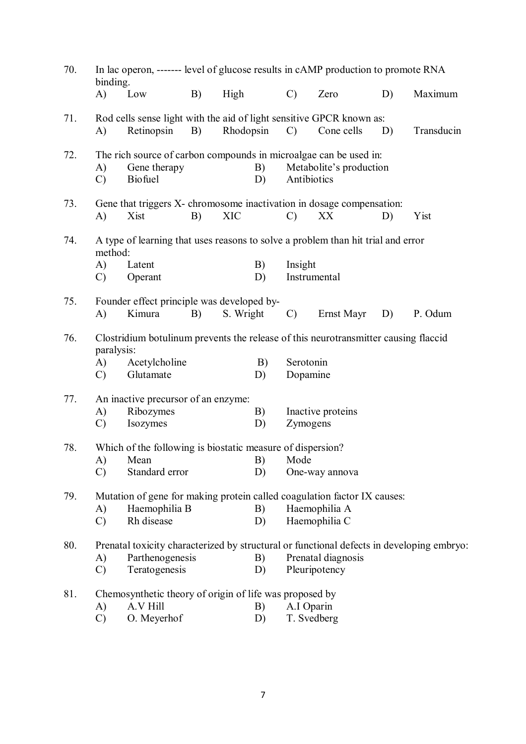| 70. | In lac operon, ------- level of glucose results in cAMP production to promote RNA<br>binding.     |                                                                                                     |    |            |          |                       |                         |    |            |
|-----|---------------------------------------------------------------------------------------------------|-----------------------------------------------------------------------------------------------------|----|------------|----------|-----------------------|-------------------------|----|------------|
|     | A)                                                                                                | Low                                                                                                 | B) | High       |          | $\mathcal{C}$         | Zero                    | D) | Maximum    |
| 71. | A)                                                                                                | Rod cells sense light with the aid of light sensitive GPCR known as:<br>Retinopsin                  | B) | Rhodopsin  |          | $\mathcal{C}$         | Cone cells              | D) | Transducin |
| 72. | A)<br>$\mathcal{C}$                                                                               | The rich source of carbon compounds in microalgae can be used in:<br>Gene therapy<br><b>Biofuel</b> |    |            | B)<br>D) | Antibiotics           | Metabolite's production |    |            |
| 73. | A)                                                                                                | Gene that triggers X- chromosome inactivation in dosage compensation:<br>Xist                       | B) | <b>XIC</b> |          | $\mathcal{C}$         | XX                      | D) | Yist       |
| 74. | method:                                                                                           | A type of learning that uses reasons to solve a problem than hit trial and error                    |    |            |          |                       |                         |    |            |
|     | Insight<br>A)<br>Latent<br>B)<br>Instrumental<br>Operant<br>D)<br>$\mathcal{C}$                   |                                                                                                     |    |            |          |                       |                         |    |            |
| 75. | A)                                                                                                | Founder effect principle was developed by-<br>Kimura                                                | B) | S. Wright  |          | $\mathcal{C}$         | Ernst Mayr              | D) | P. Odum    |
| 76. | Clostridium botulinum prevents the release of this neurotransmitter causing flaccid<br>paralysis: |                                                                                                     |    |            |          |                       |                         |    |            |
|     | A)<br>$\mathcal{C}$                                                                               | Acetylcholine<br>Glutamate                                                                          |    |            | B)<br>D) | Serotonin<br>Dopamine |                         |    |            |
| 77. |                                                                                                   | An inactive precursor of an enzyme:                                                                 |    |            |          |                       |                         |    |            |
|     | A)<br>$\mathcal{C}$                                                                               | Ribozymes<br>Isozymes                                                                               |    |            | B)<br>D) | Zymogens              | Inactive proteins       |    |            |
| 78. |                                                                                                   | Which of the following is biostatic measure of dispersion?                                          |    |            |          |                       |                         |    |            |
|     | A)                                                                                                | Mean                                                                                                |    |            | B)       | Mode                  |                         |    |            |
|     | $\mathcal{C}$                                                                                     | Standard error                                                                                      |    |            | D)       |                       | One-way annova          |    |            |
| 79. |                                                                                                   | Mutation of gene for making protein called coagulation factor IX causes:                            |    |            |          |                       |                         |    |            |
|     | A)                                                                                                | Haemophilia B                                                                                       |    |            | B)       |                       | Haemophilia A           |    |            |
|     | Rh disease<br>Haemophilia C<br>$\mathcal{C}$<br>D)                                                |                                                                                                     |    |            |          |                       |                         |    |            |
| 80. |                                                                                                   | Prenatal toxicity characterized by structural or functional defects in developing embryo:           |    |            |          |                       |                         |    |            |
|     | A)                                                                                                | Parthenogenesis                                                                                     |    |            | B)       |                       | Prenatal diagnosis      |    |            |
|     | $\mathcal{C}$                                                                                     | Teratogenesis                                                                                       |    |            | D)       |                       | Pleuripotency           |    |            |
| 81. | Chemosynthetic theory of origin of life was proposed by                                           |                                                                                                     |    |            |          |                       |                         |    |            |
|     | A)                                                                                                | A.V Hill                                                                                            |    |            | B)       | A.I Oparin            |                         |    |            |
|     | $\mathcal{C}$                                                                                     | O. Meyerhof                                                                                         |    |            | D)       | T. Svedberg           |                         |    |            |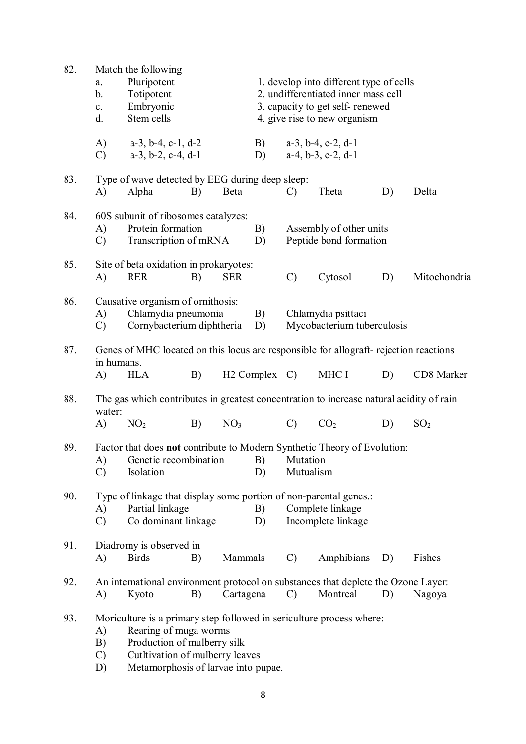| 82. | a.<br>b.<br>$\mathbf{c}$ .<br>d. | Match the following<br>Pluripotent<br>Totipotent<br>Embryonic<br>Stem cells                                                                                                                            |    |                 | 1. develop into different type of cells<br>2. undifferentiated inner mass cell<br>3. capacity to get self-renewed<br>4. give rise to new organism |                       |                                                                |    |                 |  |
|-----|----------------------------------|--------------------------------------------------------------------------------------------------------------------------------------------------------------------------------------------------------|----|-----------------|---------------------------------------------------------------------------------------------------------------------------------------------------|-----------------------|----------------------------------------------------------------|----|-----------------|--|
|     | A)<br>$\mathcal{C}$              | $a-3$ , $b-4$ , $c-1$ , $d-2$<br>$a-3$ , $b-2$ , $c-4$ , $d-1$                                                                                                                                         |    |                 | B)<br>D)                                                                                                                                          |                       | $a-3$ , $b-4$ , $c-2$ , $d-1$<br>$a-4$ , $b-3$ , $c-2$ , $d-1$ |    |                 |  |
| 83. | A)                               | Type of wave detected by EEG during deep sleep:<br>Alpha                                                                                                                                               | B) | Beta            |                                                                                                                                                   | $\mathcal{C}$         | Theta                                                          | D) | Delta           |  |
| 84. | A)<br>$\mathcal{C}$              | 60S subunit of ribosomes catalyzes:<br>Protein formation<br>Transcription of mRNA                                                                                                                      |    |                 | B)<br>D)                                                                                                                                          |                       | Assembly of other units<br>Peptide bond formation              |    |                 |  |
| 85. | A)                               | Site of beta oxidation in prokaryotes:<br><b>RER</b>                                                                                                                                                   | B) | <b>SER</b>      |                                                                                                                                                   | $\mathcal{C}$         | Cytosol                                                        | D) | Mitochondria    |  |
| 86. | A)<br>$\mathcal{C}$              | Causative organism of ornithosis:<br>Chlamydia pneumonia<br>Cornybacterium diphtheria                                                                                                                  |    |                 | B)<br>D)                                                                                                                                          |                       | Chlamydia psittaci<br>Mycobacterium tuberculosis               |    |                 |  |
| 87. | in humans.                       | Genes of MHC located on this locus are responsible for allograft- rejection reactions                                                                                                                  |    |                 |                                                                                                                                                   |                       |                                                                |    |                 |  |
|     | A)                               | <b>HLA</b>                                                                                                                                                                                             | B) |                 | $H2$ Complex $C$ )                                                                                                                                |                       | MHC I                                                          | D) | CD8 Marker      |  |
| 88. | water:                           | The gas which contributes in greatest concentration to increase natural acidity of rain                                                                                                                |    |                 |                                                                                                                                                   |                       |                                                                |    |                 |  |
|     | A)                               | NO <sub>2</sub>                                                                                                                                                                                        | B) | NO <sub>3</sub> |                                                                                                                                                   | $\mathcal{C}$         | CO <sub>2</sub>                                                | D) | SO <sub>2</sub> |  |
| 89. | A)<br>$\mathcal{C}$              | Factor that does not contribute to Modern Synthetic Theory of Evolution:<br>Genetic recombination<br>Isolation                                                                                         |    |                 | B)<br>D)                                                                                                                                          | Mutation<br>Mutualism |                                                                |    |                 |  |
| 90. | A)<br>$\mathcal{C}$              | Type of linkage that display some portion of non-parental genes.:<br>Partial linkage<br>Co dominant linkage                                                                                            |    |                 | B)<br>D)                                                                                                                                          |                       | Complete linkage<br>Incomplete linkage                         |    |                 |  |
| 91. | A)                               | Diadromy is observed in<br><b>Birds</b>                                                                                                                                                                | B) | Mammals         |                                                                                                                                                   | $\mathcal{C}$         | Amphibians                                                     | D) | Fishes          |  |
| 92. | A)                               | An international environment protocol on substances that deplete the Ozone Layer:<br>Kyoto                                                                                                             | B) | Cartagena       |                                                                                                                                                   | $\mathcal{C}$         | Montreal                                                       | D) | Nagoya          |  |
| 93. | A)<br>B)<br>$\mathcal{C}$<br>D)  | Moriculture is a primary step followed in sericulture process where:<br>Rearing of muga worms<br>Production of mulberry silk<br>Cutltivation of mulberry leaves<br>Metamorphosis of larvae into pupae. |    |                 |                                                                                                                                                   |                       |                                                                |    |                 |  |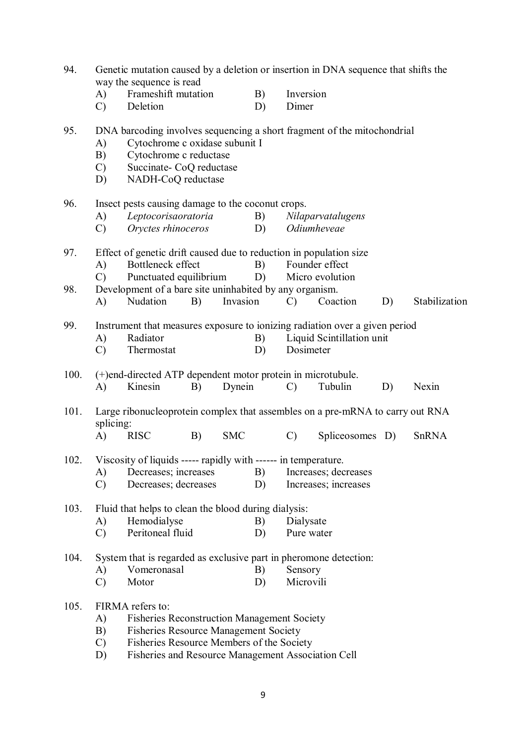| 94.  | Genetic mutation caused by a deletion or insertion in DNA sequence that shifts the<br>way the sequence is read |                                                                                                                                                                                       |    |            |          |                    |                                   |    |               |
|------|----------------------------------------------------------------------------------------------------------------|---------------------------------------------------------------------------------------------------------------------------------------------------------------------------------------|----|------------|----------|--------------------|-----------------------------------|----|---------------|
|      | A)<br>$\mathcal{C}$                                                                                            | Frameshift mutation<br>Deletion                                                                                                                                                       |    |            | B)<br>D) | Inversion<br>Dimer |                                   |    |               |
| 95.  | A)<br>B)<br>$\mathcal{C}$<br>D)                                                                                | DNA barcoding involves sequencing a short fragment of the mitochondrial<br>Cytochrome c oxidase subunit I<br>Cytochrome c reductase<br>Succinate- CoQ reductase<br>NADH-CoQ reductase |    |            |          |                    |                                   |    |               |
| 96.  |                                                                                                                | Insect pests causing damage to the coconut crops.                                                                                                                                     |    |            |          |                    |                                   |    |               |
|      | A)<br>$\mathcal{C}$                                                                                            | Leptocorisaoratoria<br>Oryctes rhinoceros                                                                                                                                             |    |            | B)<br>D) |                    | Nilaparvatalugens<br>Odiumheveae  |    |               |
| 97.  |                                                                                                                | Effect of genetic drift caused due to reduction in population size                                                                                                                    |    |            |          |                    |                                   |    |               |
|      | A)<br>$\mathcal{C}$                                                                                            | Bottleneck effect<br>Punctuated equilibrium                                                                                                                                           |    |            | B)<br>D) |                    | Founder effect<br>Micro evolution |    |               |
| 98.  |                                                                                                                | Development of a bare site uninhabited by any organism.                                                                                                                               |    |            |          |                    |                                   |    |               |
|      | A)                                                                                                             | Nudation                                                                                                                                                                              | B) | Invasion   |          | $\mathcal{C}$      | Coaction                          | D) | Stabilization |
| 99.  |                                                                                                                | Instrument that measures exposure to ionizing radiation over a given period                                                                                                           |    |            |          |                    |                                   |    |               |
|      | A)                                                                                                             | Radiator                                                                                                                                                                              |    |            | B)       |                    | Liquid Scintillation unit         |    |               |
|      | $\mathcal{C}$                                                                                                  | Thermostat                                                                                                                                                                            |    |            | D)       |                    | Dosimeter                         |    |               |
| 100. |                                                                                                                | (+)end-directed ATP dependent motor protein in microtubule.                                                                                                                           |    |            |          |                    |                                   |    |               |
|      | A)                                                                                                             | Kinesin                                                                                                                                                                               | B) | Dynein     |          | $\mathcal{C}$      | Tubulin                           | D) | Nexin         |
| 101. | splicing:                                                                                                      | Large ribonucleoprotein complex that assembles on a pre-mRNA to carry out RNA                                                                                                         |    |            |          |                    |                                   |    |               |
|      | $\bf{A}$                                                                                                       | <b>RISC</b>                                                                                                                                                                           | B) | <b>SMC</b> |          | $\mathcal{C}$      | Spliceosomes D)                   |    | SnRNA         |
| 102. |                                                                                                                | Viscosity of liquids ----- rapidly with ------ in temperature.                                                                                                                        |    |            |          |                    |                                   |    |               |
|      | A)                                                                                                             | Decreases; increases                                                                                                                                                                  |    |            | B)       |                    | Increases; decreases              |    |               |
|      | $\mathcal{C}$                                                                                                  | Decreases; decreases                                                                                                                                                                  |    |            | D)       |                    | Increases; increases              |    |               |
| 103. |                                                                                                                | Fluid that helps to clean the blood during dialysis:                                                                                                                                  |    |            |          |                    |                                   |    |               |
|      | A)                                                                                                             | Hemodialyse                                                                                                                                                                           |    |            | B)       | Dialysate          |                                   |    |               |
|      | $\mathcal{C}$                                                                                                  | Peritoneal fluid                                                                                                                                                                      |    |            | D)       |                    | Pure water                        |    |               |
| 104. |                                                                                                                | System that is regarded as exclusive part in pheromone detection:                                                                                                                     |    |            |          |                    |                                   |    |               |
|      | A)                                                                                                             | Vomeronasal                                                                                                                                                                           |    |            | B)       | Sensory            |                                   |    |               |
|      | $\mathcal{C}$                                                                                                  | Motor                                                                                                                                                                                 |    |            | D)       | Microvili          |                                   |    |               |
| 105. |                                                                                                                | FIRMA refers to:                                                                                                                                                                      |    |            |          |                    |                                   |    |               |
|      | A)                                                                                                             | <b>Fisheries Reconstruction Management Society</b>                                                                                                                                    |    |            |          |                    |                                   |    |               |
|      | B)<br>$\mathcal{C}$                                                                                            | <b>Fisheries Resource Management Society</b><br>Fisheries Resource Members of the Society                                                                                             |    |            |          |                    |                                   |    |               |
|      | D)                                                                                                             | Fisheries and Resource Management Association Cell                                                                                                                                    |    |            |          |                    |                                   |    |               |
|      |                                                                                                                |                                                                                                                                                                                       |    |            |          |                    |                                   |    |               |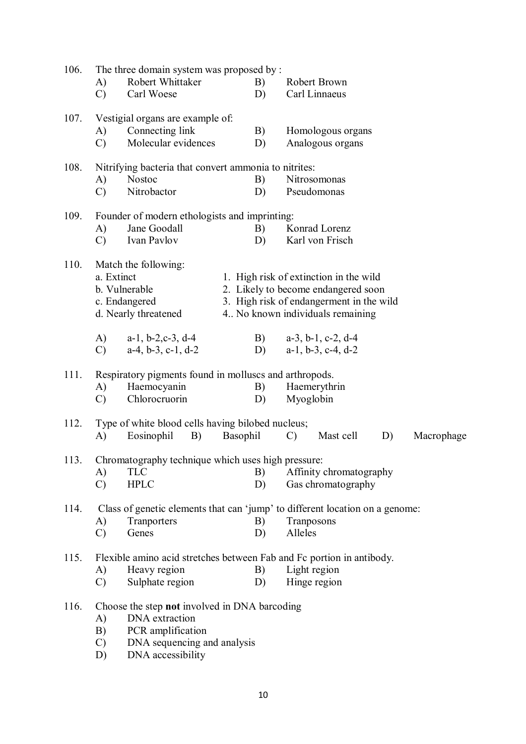| 106. |                     | The three domain system was proposed by:                                     |          |               |                                          |    |            |
|------|---------------------|------------------------------------------------------------------------------|----------|---------------|------------------------------------------|----|------------|
|      | A)<br>$\mathcal{C}$ | Robert Whittaker<br>Carl Woese                                               | B)<br>D) |               | Robert Brown<br>Carl Linnaeus            |    |            |
|      |                     |                                                                              |          |               |                                          |    |            |
| 107. |                     | Vestigial organs are example of:                                             |          |               |                                          |    |            |
|      | A)                  | Connecting link                                                              | B)       |               | Homologous organs                        |    |            |
|      | $\mathcal{C}$       | Molecular evidences                                                          | D)       |               | Analogous organs                         |    |            |
| 108. |                     | Nitrifying bacteria that convert ammonia to nitrites:                        |          |               |                                          |    |            |
|      | A)                  | <b>Nostoc</b>                                                                | B)       |               | Nitrosomonas                             |    |            |
|      | $\mathcal{C}$       | Nitrobactor                                                                  | D)       |               | Pseudomonas                              |    |            |
| 109. |                     | Founder of modern ethologists and imprinting:                                |          |               |                                          |    |            |
|      | A)                  | Jane Goodall                                                                 | B)       |               | Konrad Lorenz                            |    |            |
|      | $\mathcal{C}$       | Ivan Pavlov                                                                  | D)       |               | Karl von Frisch                          |    |            |
| 110. |                     | Match the following:                                                         |          |               |                                          |    |            |
|      | a. Extinct          |                                                                              |          |               | 1. High risk of extinction in the wild   |    |            |
|      |                     | b. Vulnerable                                                                |          |               | 2. Likely to become endangered soon      |    |            |
|      |                     | c. Endangered                                                                |          |               | 3. High risk of endangerment in the wild |    |            |
|      |                     | d. Nearly threatened                                                         |          |               | 4. No known individuals remaining        |    |            |
|      | A)                  | $a-1$ , $b-2$ , $c-3$ , $d-4$                                                | B)       |               | $a-3$ , $b-1$ , $c-2$ , $d-4$            |    |            |
|      | $\mathcal{C}$       | $a-4, b-3, c-1, d-2$                                                         | D)       |               | $a-1$ , $b-3$ , $c-4$ , $d-2$            |    |            |
|      |                     |                                                                              |          |               |                                          |    |            |
| 111. |                     | Respiratory pigments found in molluscs and arthropods.                       |          |               |                                          |    |            |
|      | A)                  | Haemocyanin                                                                  | B)       |               | Haemerythrin                             |    |            |
|      | $\mathcal{C}$       | Chlorocruorin                                                                | D)       |               | Myoglobin                                |    |            |
| 112. |                     | Type of white blood cells having bilobed nucleus;                            |          |               |                                          |    |            |
|      | A)                  | Eosinophil<br>B)                                                             | Basophil | $\mathcal{C}$ | Mast cell                                | D) | Macrophage |
| 113. |                     | Chromatography technique which uses high pressure:                           |          |               |                                          |    |            |
|      | A)                  | <b>TLC</b>                                                                   | B)       |               | Affinity chromatography                  |    |            |
|      | $\mathcal{C}$       | <b>HPLC</b>                                                                  | D)       |               | Gas chromatography                       |    |            |
| 114. |                     | Class of genetic elements that can 'jump' to different location on a genome: |          |               |                                          |    |            |
|      | A)                  | Tranporters                                                                  | B)       |               | Tranposons                               |    |            |
|      | $\mathcal{C}$       | Genes                                                                        | D)       | Alleles       |                                          |    |            |
| 115. |                     | Flexible amino acid stretches between Fab and Fc portion in antibody.        |          |               |                                          |    |            |
|      | A)                  | Heavy region                                                                 | B)       |               | Light region                             |    |            |
|      | $\mathcal{C}$       | Sulphate region                                                              | D)       |               | Hinge region                             |    |            |
|      |                     |                                                                              |          |               |                                          |    |            |
| 116. |                     | Choose the step not involved in DNA barcoding                                |          |               |                                          |    |            |
|      | A)                  | DNA extraction                                                               |          |               |                                          |    |            |
|      | B)                  | PCR amplification                                                            |          |               |                                          |    |            |
|      | $\mathcal{C}$       | DNA sequencing and analysis                                                  |          |               |                                          |    |            |
|      | D)                  | DNA accessibility                                                            |          |               |                                          |    |            |
|      |                     |                                                                              |          |               |                                          |    |            |